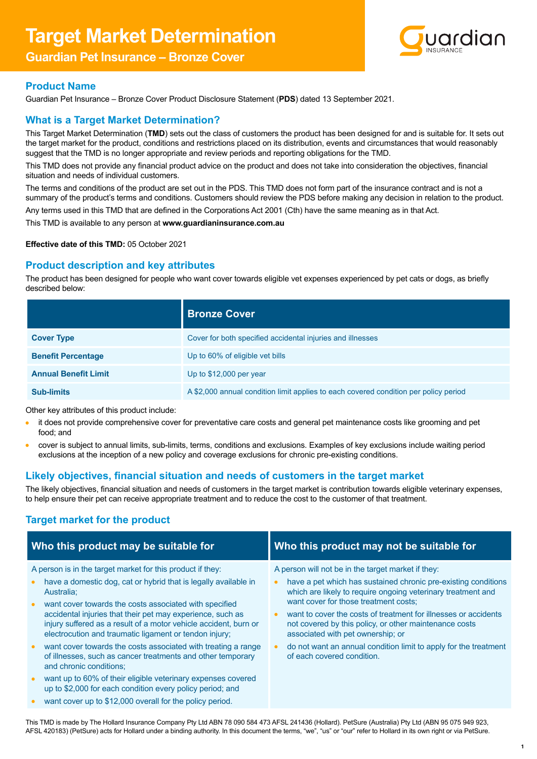# **Target Market Determination**

# **Guardian Pet Insurance – Bronze Cover**



## **Product Name**

Guardian Pet Insurance – Bronze Cover Product Disclosure Statement (**PDS**) dated 13 September 2021.

## **What is a Target Market Determination?**

This Target Market Determination (**TMD**) sets out the class of customers the product has been designed for and is suitable for. It sets out the target market for the product, conditions and restrictions placed on its distribution, events and circumstances that would reasonably suggest that the TMD is no longer appropriate and review periods and reporting obligations for the TMD.

This TMD does not provide any financial product advice on the product and does not take into consideration the objectives, financial situation and needs of individual customers.

The terms and conditions of the product are set out in the PDS. This TMD does not form part of the insurance contract and is not a summary of the product's terms and conditions. Customers should review the PDS before making any decision in relation to the product.

Any terms used in this TMD that are defined in the Corporations Act 2001 (Cth) have the same meaning as in that Act.

This TMD is available to any person at **[www.guardianinsurance.com.au](http://www.guardianinsurance.com.au)**

#### **Effective date of this TMD:** 05 October 2021

## **Product description and key attributes**

The product has been designed for people who want cover towards eligible vet expenses experienced by pet cats or dogs, as briefly described below:

|                             | <b>Bronze Cover</b>                                                                  |
|-----------------------------|--------------------------------------------------------------------------------------|
| <b>Cover Type</b>           | Cover for both specified accidental injuries and illnesses                           |
| <b>Benefit Percentage</b>   | Up to 60% of eligible vet bills                                                      |
| <b>Annual Benefit Limit</b> | Up to $$12,000$ per year                                                             |
| <b>Sub-limits</b>           | A \$2,000 annual condition limit applies to each covered condition per policy period |

Other key attributes of this product include:

- it does not provide comprehensive cover for preventative care costs and general pet maintenance costs like grooming and pet food; and
- cover is subject to annual limits, sub-limits, terms, conditions and exclusions. Examples of key exclusions include waiting period exclusions at the inception of a new policy and coverage exclusions for chronic pre-existing conditions.

## **Likely objectives, financial situation and needs of customers in the target market**

The likely objectives, financial situation and needs of customers in the target market is contribution towards eligible veterinary expenses, to help ensure their pet can receive appropriate treatment and to reduce the cost to the customer of that treatment.

## **Target market for the product**

| Who this product may be suitable for                                                                                                                                                                                            | Who this product may not be suitable for                                                                                                                                                                                      |
|---------------------------------------------------------------------------------------------------------------------------------------------------------------------------------------------------------------------------------|-------------------------------------------------------------------------------------------------------------------------------------------------------------------------------------------------------------------------------|
| A person is in the target market for this product if they:<br>have a domestic dog, cat or hybrid that is legally available in<br>$\bullet$<br>Australia:<br>want cover towards the costs associated with specified<br>$\bullet$ | A person will not be in the target market if they:<br>have a pet which has sustained chronic pre-existing conditions<br>which are likely to require ongoing veterinary treatment and<br>want cover for those treatment costs; |
| accidental injuries that their pet may experience, such as<br>injury suffered as a result of a motor vehicle accident, burn or<br>electrocution and traumatic ligament or tendon injury;                                        | want to cover the costs of treatment for illnesses or accidents<br>not covered by this policy, or other maintenance costs<br>associated with pet ownership; or                                                                |
| want cover towards the costs associated with treating a range<br>$\bullet$<br>of illnesses, such as cancer treatments and other temporary<br>and chronic conditions:                                                            | do not want an annual condition limit to apply for the treatment<br>of each covered condition.                                                                                                                                |
| want up to 60% of their eligible veterinary expenses covered<br>$\bullet$<br>up to \$2,000 for each condition every policy period; and                                                                                          |                                                                                                                                                                                                                               |
| want cover up to \$12,000 overall for the policy period.                                                                                                                                                                        |                                                                                                                                                                                                                               |

This TMD is made by The Hollard Insurance Company Pty Ltd ABN 78 090 584 473 AFSL 241436 (Hollard). PetSure (Australia) Pty Ltd (ABN 95 075 949 923, AFSL 420183) (PetSure) acts for Hollard under a binding authority. In this document the terms, "we", "us" or "our" refer to Hollard in its own right or via PetSure.